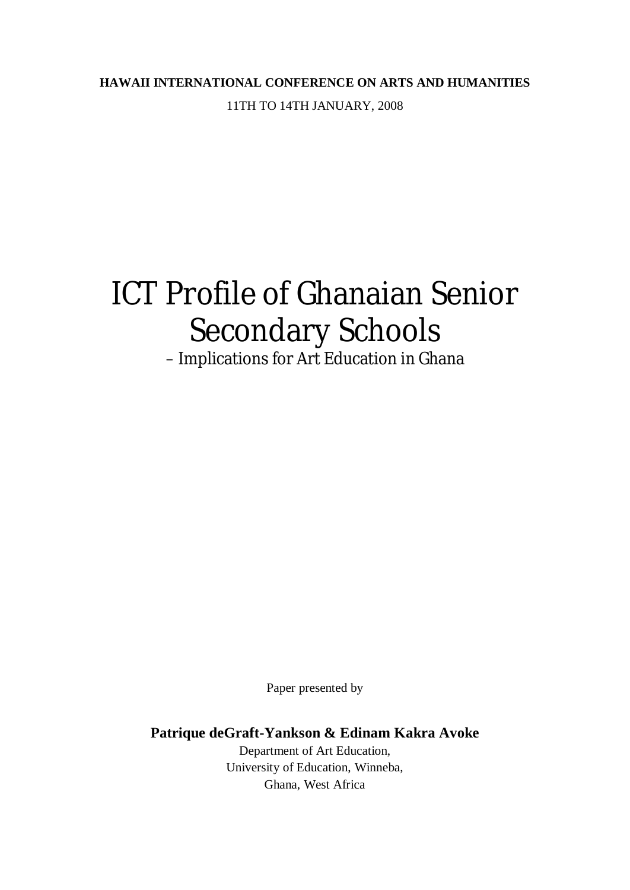# **HAWAII INTERNATIONAL CONFERENCE ON ARTS AND HUMANITIES** 11TH TO 14TH JANUARY, 2008

# ICT Profile of Ghanaian Senior Secondary Schools

– Implications for Art Education in Ghana

Paper presented by

**Patrique deGraft-Yankson & Edinam Kakra Avoke**

Department of Art Education, University of Education, Winneba, Ghana, West Africa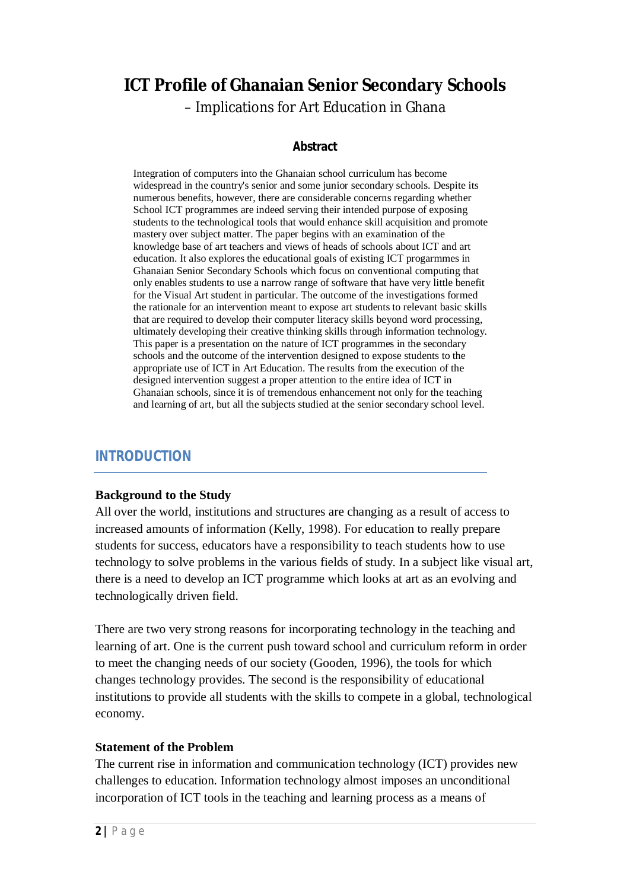# **ICT Profile of Ghanaian Senior Secondary Schools**

– Implications for Art Education in Ghana

#### **Abstract**

Integration of computers into the Ghanaian school curriculum has become widespread in the country's senior and some junior secondary schools. Despite its numerous benefits, however, there are considerable concerns regarding whether School ICT programmes are indeed serving their intended purpose of exposing students to the technological tools that would enhance skill acquisition and promote mastery over subject matter. The paper begins with an examination of the knowledge base of art teachers and views of heads of schools about ICT and art education. It also explores the educational goals of existing ICT progarmmes in Ghanaian Senior Secondary Schools which focus on conventional computing that only enables students to use a narrow range of software that have very little benefit for the Visual Art student in particular. The outcome of the investigations formed the rationale for an intervention meant to expose art students to relevant basic skills that are required to develop their computer literacy skills beyond word processing, ultimately developing their creative thinking skills through information technology. This paper is a presentation on the nature of ICT programmes in the secondary schools and the outcome of the intervention designed to expose students to the appropriate use of ICT in Art Education. The results from the execution of the designed intervention suggest a proper attention to the entire idea of ICT in Ghanaian schools, since it is of tremendous enhancement not only for the teaching and learning of art, but all the subjects studied at the senior secondary school level.

# *INTRODUCTION*

#### **Background to the Study**

All over the world, institutions and structures are changing as a result of access to increased amounts of information (Kelly, 1998). For education to really prepare students for success, educators have a responsibility to teach students how to use technology to solve problems in the various fields of study. In a subject like visual art, there is a need to develop an ICT programme which looks at art as an evolving and technologically driven field.

There are two very strong reasons for incorporating technology in the teaching and learning of art. One is the current push toward school and curriculum reform in order to meet the changing needs of our society (Gooden, 1996), the tools for which changes technology provides. The second is the responsibility of educational institutions to provide all students with the skills to compete in a global, technological economy.

#### **Statement of the Problem**

The current rise in information and communication technology (ICT) provides new challenges to education. Information technology almost imposes an unconditional incorporation of ICT tools in the teaching and learning process as a means of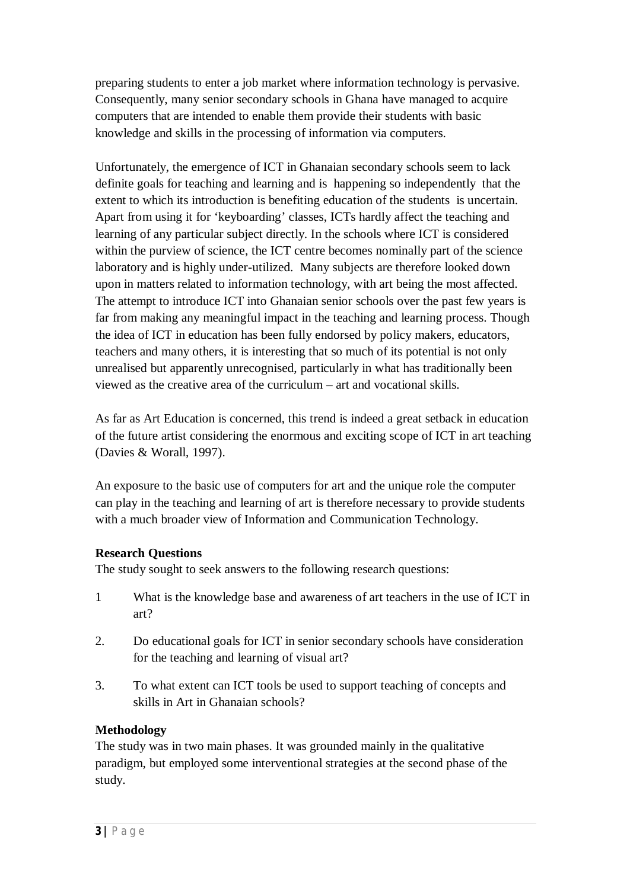preparing students to enter a job market where information technology is pervasive. Consequently, many senior secondary schools in Ghana have managed to acquire computers that are intended to enable them provide their students with basic knowledge and skills in the processing of information via computers.

Unfortunately, the emergence of ICT in Ghanaian secondary schools seem to lack definite goals for teaching and learning and is happening so independently that the extent to which its introduction is benefiting education of the students is uncertain. Apart from using it for 'keyboarding' classes, ICTs hardly affect the teaching and learning of any particular subject directly. In the schools where ICT is considered within the purview of science, the ICT centre becomes nominally part of the science laboratory and is highly under-utilized. Many subjects are therefore looked down upon in matters related to information technology, with art being the most affected. The attempt to introduce ICT into Ghanaian senior schools over the past few years is far from making any meaningful impact in the teaching and learning process. Though the idea of ICT in education has been fully endorsed by policy makers, educators, teachers and many others, it is interesting that so much of its potential is not only unrealised but apparently unrecognised, particularly in what has traditionally been viewed as the creative area of the curriculum – art and vocational skills.

As far as Art Education is concerned, this trend is indeed a great setback in education of the future artist considering the enormous and exciting scope of ICT in art teaching (Davies & Worall, 1997).

An exposure to the basic use of computers for art and the unique role the computer can play in the teaching and learning of art is therefore necessary to provide students with a much broader view of Information and Communication Technology.

#### **Research Questions**

The study sought to seek answers to the following research questions:

- 1 What is the knowledge base and awareness of art teachers in the use of ICT in art?
- 2. Do educational goals for ICT in senior secondary schools have consideration for the teaching and learning of visual art?
- 3. To what extent can ICT tools be used to support teaching of concepts and skills in Art in Ghanaian schools?

#### **Methodology**

The study was in two main phases. It was grounded mainly in the qualitative paradigm, but employed some interventional strategies at the second phase of the study.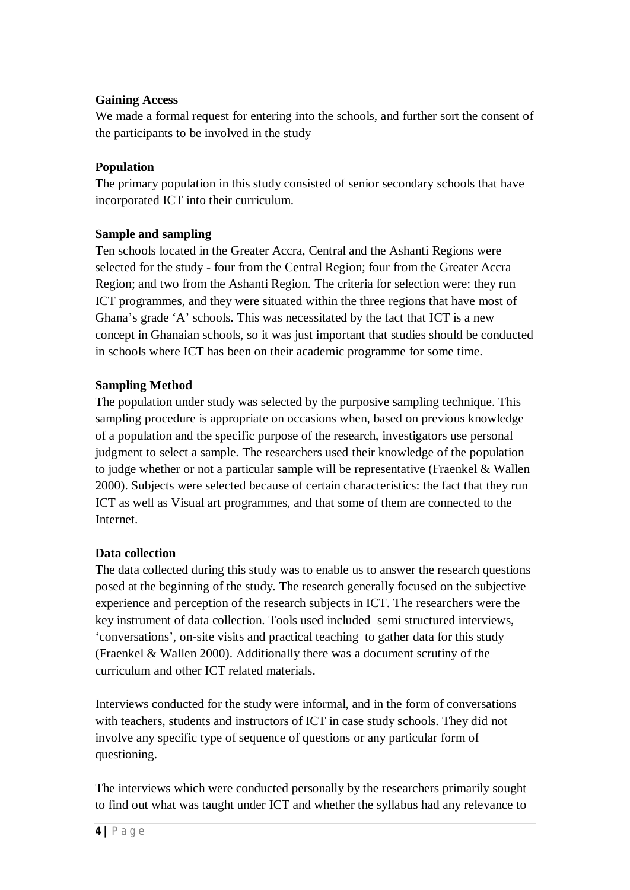#### **Gaining Access**

We made a formal request for entering into the schools, and further sort the consent of the participants to be involved in the study

#### **Population**

The primary population in this study consisted of senior secondary schools that have incorporated ICT into their curriculum.

#### **Sample and sampling**

Ten schools located in the Greater Accra, Central and the Ashanti Regions were selected for the study - four from the Central Region; four from the Greater Accra Region; and two from the Ashanti Region. The criteria for selection were: they run ICT programmes, and they were situated within the three regions that have most of Ghana's grade 'A' schools. This was necessitated by the fact that ICT is a new concept in Ghanaian schools, so it was just important that studies should be conducted in schools where ICT has been on their academic programme for some time.

# **Sampling Method**

The population under study was selected by the purposive sampling technique. This sampling procedure is appropriate on occasions when, based on previous knowledge of a population and the specific purpose of the research, investigators use personal judgment to select a sample. The researchers used their knowledge of the population to judge whether or not a particular sample will be representative (Fraenkel & Wallen 2000). Subjects were selected because of certain characteristics: the fact that they run ICT as well as Visual art programmes, and that some of them are connected to the Internet.

#### **Data collection**

The data collected during this study was to enable us to answer the research questions posed at the beginning of the study. The research generally focused on the subjective experience and perception of the research subjects in ICT. The researchers were the key instrument of data collection. Tools used included semi structured interviews, 'conversations', on-site visits and practical teaching to gather data for this study (Fraenkel & Wallen 2000). Additionally there was a document scrutiny of the curriculum and other ICT related materials.

Interviews conducted for the study were informal, and in the form of conversations with teachers, students and instructors of ICT in case study schools. They did not involve any specific type of sequence of questions or any particular form of questioning.

The interviews which were conducted personally by the researchers primarily sought to find out what was taught under ICT and whether the syllabus had any relevance to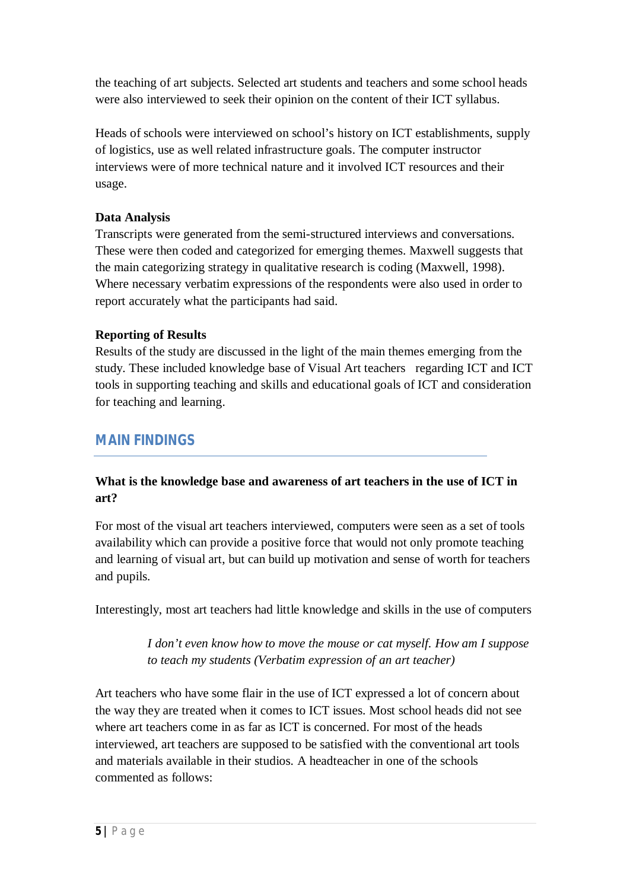the teaching of art subjects. Selected art students and teachers and some school heads were also interviewed to seek their opinion on the content of their ICT syllabus.

Heads of schools were interviewed on school's history on ICT establishments, supply of logistics, use as well related infrastructure goals. The computer instructor interviews were of more technical nature and it involved ICT resources and their usage.

# **Data Analysis**

Transcripts were generated from the semi-structured interviews and conversations. These were then coded and categorized for emerging themes. Maxwell suggests that the main categorizing strategy in qualitative research is coding (Maxwell, 1998). Where necessary verbatim expressions of the respondents were also used in order to report accurately what the participants had said.

# **Reporting of Results**

Results of the study are discussed in the light of the main themes emerging from the study. These included knowledge base of Visual Art teachers regarding ICT and ICT tools in supporting teaching and skills and educational goals of ICT and consideration for teaching and learning.

# *MAIN FINDINGS*

# **What is the knowledge base and awareness of art teachers in the use of ICT in art?**

For most of the visual art teachers interviewed, computers were seen as a set of tools availability which can provide a positive force that would not only promote teaching and learning of visual art, but can build up motivation and sense of worth for teachers and pupils.

Interestingly, most art teachers had little knowledge and skills in the use of computers

*I don't even know how to move the mouse or cat myself. How am I suppose to teach my students (Verbatim expression of an art teacher)*

Art teachers who have some flair in the use of ICT expressed a lot of concern about the way they are treated when it comes to ICT issues. Most school heads did not see where art teachers come in as far as ICT is concerned. For most of the heads interviewed, art teachers are supposed to be satisfied with the conventional art tools and materials available in their studios. A headteacher in one of the schools commented as follows: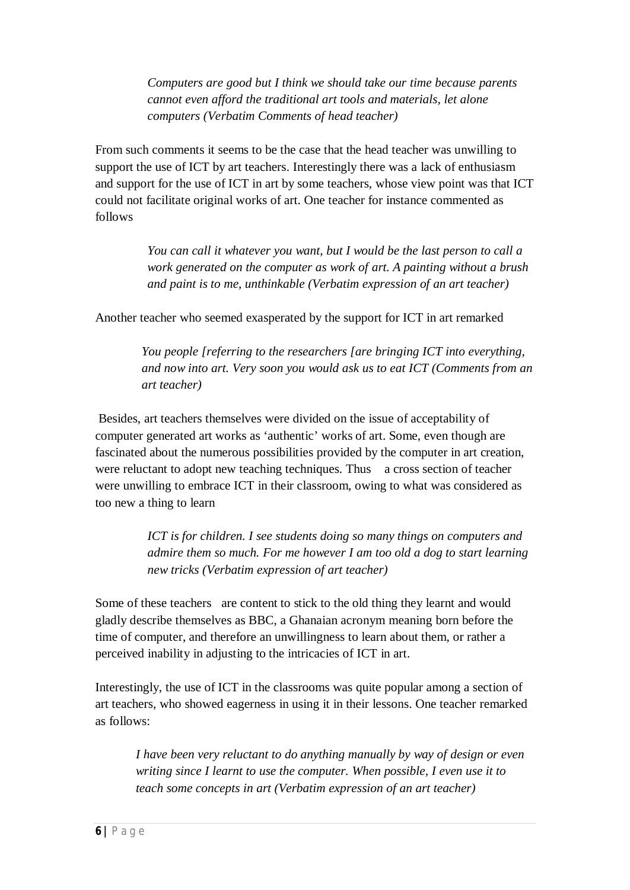*Computers are good but I think we should take our time because parents cannot even afford the traditional art tools and materials, let alone computers (Verbatim Comments of head teacher)*

From such comments it seems to be the case that the head teacher was unwilling to support the use of ICT by art teachers. Interestingly there was a lack of enthusiasm and support for the use of ICT in art by some teachers, whose view point was that ICT could not facilitate original works of art. One teacher for instance commented as follows

> *You can call it whatever you want, but I would be the last person to call a work generated on the computer as work of art. A painting without a brush and paint is to me, unthinkable (Verbatim expression of an art teacher)*

Another teacher who seemed exasperated by the support for ICT in art remarked

*You people [referring to the researchers [are bringing ICT into everything, and now into art. Very soon you would ask us to eat ICT (Comments from an art teacher)*

Besides, art teachers themselves were divided on the issue of acceptability of computer generated art works as 'authentic' works of art. Some, even though are fascinated about the numerous possibilities provided by the computer in art creation, were reluctant to adopt new teaching techniques. Thus a cross section of teacher were unwilling to embrace ICT in their classroom, owing to what was considered as too new a thing to learn

> *ICT is for children. I see students doing so many things on computers and admire them so much. For me however I am too old a dog to start learning new tricks (Verbatim expression of art teacher)*

Some of these teachers are content to stick to the old thing they learnt and would gladly describe themselves as BBC, a Ghanaian acronym meaning born before the time of computer, and therefore an unwillingness to learn about them, or rather a perceived inability in adjusting to the intricacies of ICT in art.

Interestingly, the use of ICT in the classrooms was quite popular among a section of art teachers, who showed eagerness in using it in their lessons. One teacher remarked as follows:

*I have been very reluctant to do anything manually by way of design or even writing since I learnt to use the computer. When possible, I even use it to teach some concepts in art (Verbatim expression of an art teacher)*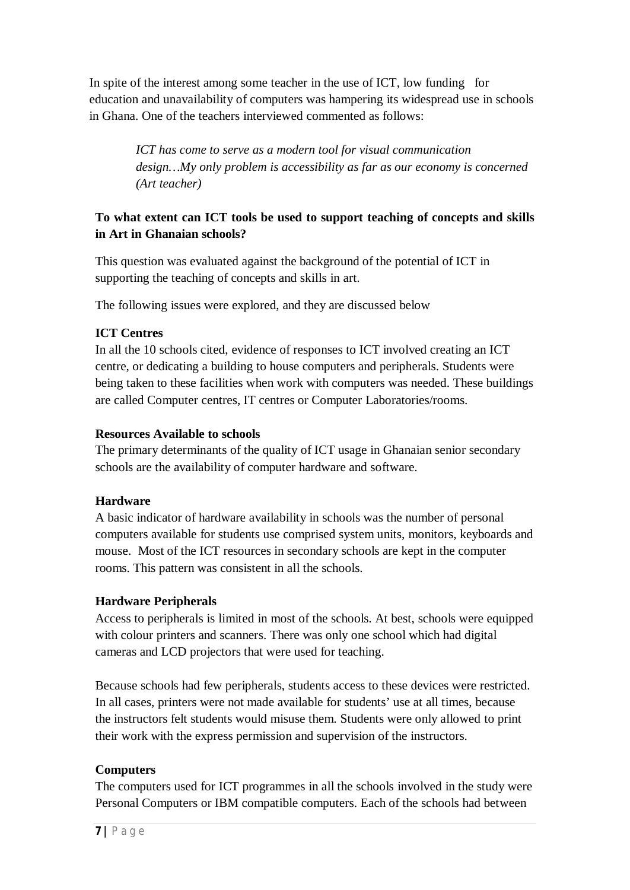In spite of the interest among some teacher in the use of ICT, low funding for education and unavailability of computers was hampering its widespread use in schools in Ghana. One of the teachers interviewed commented as follows:

> *ICT has come to serve as a modern tool for visual communication design…My only problem is accessibility as far as our economy is concerned (Art teacher)*

# **To what extent can ICT tools be used to support teaching of concepts and skills in Art in Ghanaian schools?**

This question was evaluated against the background of the potential of ICT in supporting the teaching of concepts and skills in art.

The following issues were explored, and they are discussed below

# **ICT Centres**

In all the 10 schools cited, evidence of responses to ICT involved creating an ICT centre, or dedicating a building to house computers and peripherals. Students were being taken to these facilities when work with computers was needed. These buildings are called Computer centres, IT centres or Computer Laboratories/rooms.

# **Resources Available to schools**

The primary determinants of the quality of ICT usage in Ghanaian senior secondary schools are the availability of computer hardware and software.

# **Hardware**

A basic indicator of hardware availability in schools was the number of personal computers available for students use comprised system units, monitors, keyboards and mouse. Most of the ICT resources in secondary schools are kept in the computer rooms. This pattern was consistent in all the schools.

# **Hardware Peripherals**

Access to peripherals is limited in most of the schools. At best, schools were equipped with colour printers and scanners. There was only one school which had digital cameras and LCD projectors that were used for teaching.

Because schools had few peripherals, students access to these devices were restricted. In all cases, printers were not made available for students' use at all times, because the instructors felt students would misuse them. Students were only allowed to print their work with the express permission and supervision of the instructors.

# **Computers**

The computers used for ICT programmes in all the schools involved in the study were Personal Computers or IBM compatible computers. Each of the schools had between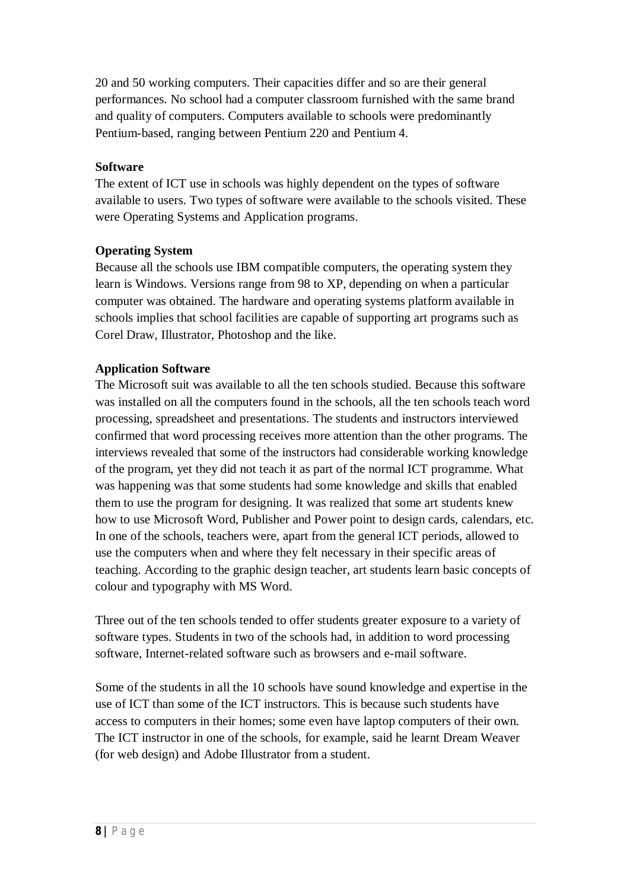20 and 50 working computers. Their capacities differ and so are their general performances. No school had a computer classroom furnished with the same brand and quality of computers. Computers available to schools were predominantly Pentium-based, ranging between Pentium 220 and Pentium 4.

#### **Software**

The extent of ICT use in schools was highly dependent on the types of software available to users. Two types of software were available to the schools visited. These were Operating Systems and Application programs.

#### **Operating System**

Because all the schools use IBM compatible computers, the operating system they learn is Windows. Versions range from 98 to XP, depending on when a particular computer was obtained. The hardware and operating systems platform available in schools implies that school facilities are capable of supporting art programs such as Corel Draw, Illustrator, Photoshop and the like.

#### **Application Software**

The Microsoft suit was available to all the ten schools studied. Because this software was installed on all the computers found in the schools, all the ten schools teach word processing, spreadsheet and presentations. The students and instructors interviewed confirmed that word processing receives more attention than the other programs. The interviews revealed that some of the instructors had considerable working knowledge of the program, yet they did not teach it as part of the normal ICT programme. What was happening was that some students had some knowledge and skills that enabled them to use the program for designing. It was realized that some art students knew how to use Microsoft Word, Publisher and Power point to design cards, calendars, etc. In one of the schools, teachers were, apart from the general ICT periods, allowed to use the computers when and where they felt necessary in their specific areas of teaching. According to the graphic design teacher, art students learn basic concepts of colour and typography with MS Word.

Three out of the ten schools tended to offer students greater exposure to a variety of software types. Students in two of the schools had, in addition to word processing software, Internet-related software such as browsers and e-mail software.

Some of the students in all the 10 schools have sound knowledge and expertise in the use of ICT than some of the ICT instructors. This is because such students have access to computers in their homes; some even have laptop computers of their own. The ICT instructor in one of the schools, for example, said he learnt Dream Weaver (for web design) and Adobe Illustrator from a student.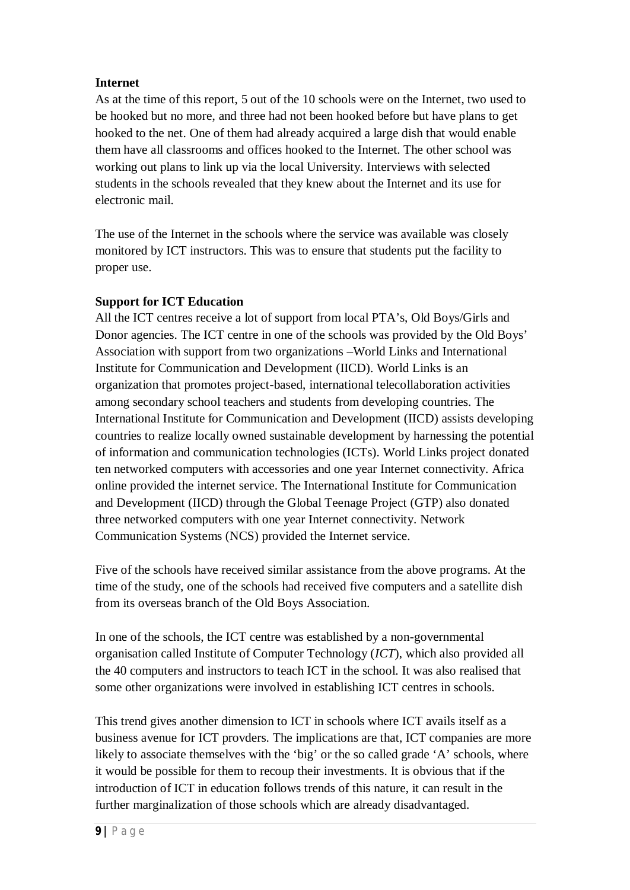#### **Internet**

As at the time of this report, 5 out of the 10 schools were on the Internet, two used to be hooked but no more, and three had not been hooked before but have plans to get hooked to the net. One of them had already acquired a large dish that would enable them have all classrooms and offices hooked to the Internet. The other school was working out plans to link up via the local University. Interviews with selected students in the schools revealed that they knew about the Internet and its use for electronic mail.

The use of the Internet in the schools where the service was available was closely monitored by ICT instructors. This was to ensure that students put the facility to proper use.

# **Support for ICT Education**

All the ICT centres receive a lot of support from local PTA's, Old Boys/Girls and Donor agencies. The ICT centre in one of the schools was provided by the Old Boys' Association with support from two organizations –World Links and International Institute for Communication and Development (IICD). World Links is an organization that promotes project-based, international telecollaboration activities among secondary school teachers and students from developing countries. The International Institute for Communication and Development (IICD) assists developing countries to realize locally owned sustainable development by harnessing the potential of information and communication technologies (ICTs). World Links project donated ten networked computers with accessories and one year Internet connectivity. Africa online provided the internet service. The International Institute for Communication and Development (IICD) through the Global Teenage Project (GTP) also donated three networked computers with one year Internet connectivity. Network Communication Systems (NCS) provided the Internet service.

Five of the schools have received similar assistance from the above programs. At the time of the study, one of the schools had received five computers and a satellite dish from its overseas branch of the Old Boys Association.

In one of the schools, the ICT centre was established by a non-governmental organisation called Institute of Computer Technology (*ICT*), which also provided all the 40 computers and instructors to teach ICT in the school. It was also realised that some other organizations were involved in establishing ICT centres in schools.

This trend gives another dimension to ICT in schools where ICT avails itself as a business avenue for ICT provders. The implications are that, ICT companies are more likely to associate themselves with the 'big' or the so called grade 'A' schools, where it would be possible for them to recoup their investments. It is obvious that if the introduction of ICT in education follows trends of this nature, it can result in the further marginalization of those schools which are already disadvantaged.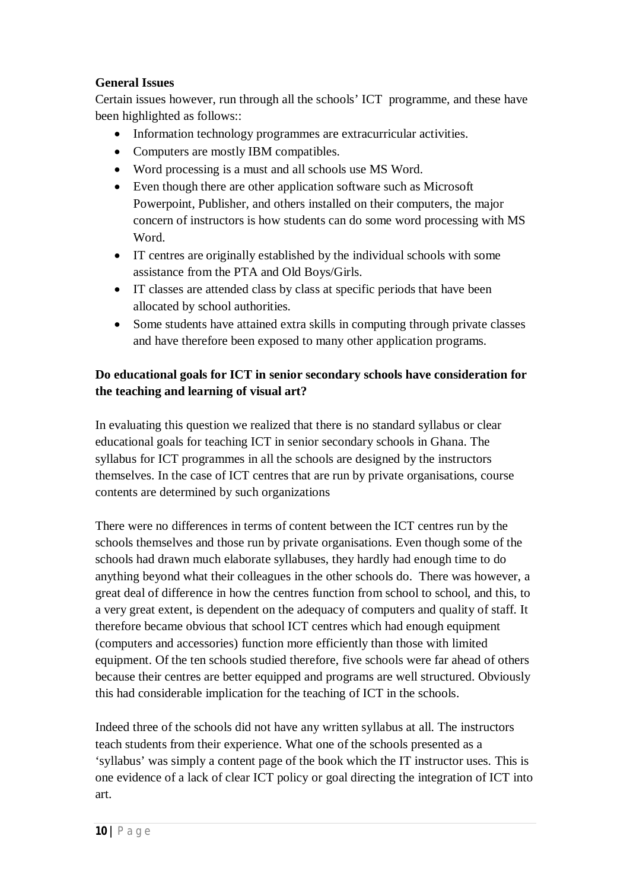#### **General Issues**

Certain issues however, run through all the schools' ICT programme, and these have been highlighted as follows::

- Information technology programmes are extracurricular activities.
- Computers are mostly IBM compatibles.
- Word processing is a must and all schools use MS Word.
- Even though there are other application software such as Microsoft Powerpoint, Publisher, and others installed on their computers, the major concern of instructors is how students can do some word processing with MS Word.
- IT centres are originally established by the individual schools with some assistance from the PTA and Old Boys/Girls.
- IT classes are attended class by class at specific periods that have been allocated by school authorities.
- Some students have attained extra skills in computing through private classes and have therefore been exposed to many other application programs.

# **Do educational goals for ICT in senior secondary schools have consideration for the teaching and learning of visual art?**

In evaluating this question we realized that there is no standard syllabus or clear educational goals for teaching ICT in senior secondary schools in Ghana. The syllabus for ICT programmes in all the schools are designed by the instructors themselves. In the case of ICT centres that are run by private organisations, course contents are determined by such organizations

There were no differences in terms of content between the ICT centres run by the schools themselves and those run by private organisations. Even though some of the schools had drawn much elaborate syllabuses, they hardly had enough time to do anything beyond what their colleagues in the other schools do. There was however, a great deal of difference in how the centres function from school to school, and this, to a very great extent, is dependent on the adequacy of computers and quality of staff. It therefore became obvious that school ICT centres which had enough equipment (computers and accessories) function more efficiently than those with limited equipment. Of the ten schools studied therefore, five schools were far ahead of others because their centres are better equipped and programs are well structured. Obviously this had considerable implication for the teaching of ICT in the schools.

Indeed three of the schools did not have any written syllabus at all. The instructors teach students from their experience. What one of the schools presented as a 'syllabus' was simply a content page of the book which the IT instructor uses. This is one evidence of a lack of clear ICT policy or goal directing the integration of ICT into art.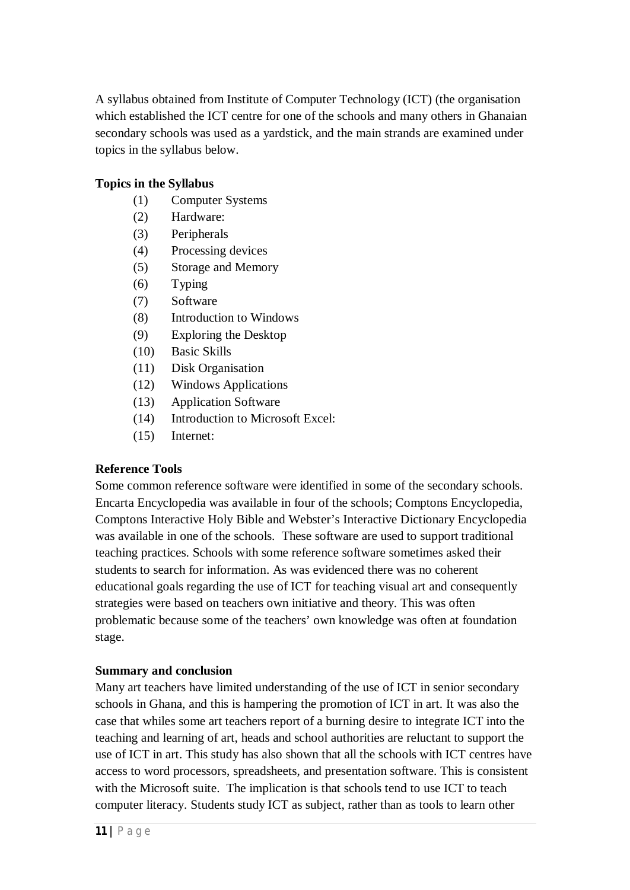A syllabus obtained from Institute of Computer Technology (ICT) (the organisation which established the ICT centre for one of the schools and many others in Ghanaian secondary schools was used as a yardstick, and the main strands are examined under topics in the syllabus below.

# **Topics in the Syllabus**

- (1) Computer Systems
- (2) Hardware:
- (3) Peripherals
- (4) Processing devices
- (5) Storage and Memory
- (6) Typing
- (7) Software
- (8) Introduction to Windows
- (9) Exploring the Desktop
- (10) Basic Skills
- (11) Disk Organisation
- (12) Windows Applications
- (13) Application Software
- (14) Introduction to Microsoft Excel:
- (15) Internet:

#### **Reference Tools**

Some common reference software were identified in some of the secondary schools. Encarta Encyclopedia was available in four of the schools; Comptons Encyclopedia, Comptons Interactive Holy Bible and Webster's Interactive Dictionary Encyclopedia was available in one of the schools. These software are used to support traditional teaching practices. Schools with some reference software sometimes asked their students to search for information. As was evidenced there was no coherent educational goals regarding the use of ICT for teaching visual art and consequently strategies were based on teachers own initiative and theory. This was often problematic because some of the teachers' own knowledge was often at foundation stage.

#### **Summary and conclusion**

Many art teachers have limited understanding of the use of ICT in senior secondary schools in Ghana, and this is hampering the promotion of ICT in art. It was also the case that whiles some art teachers report of a burning desire to integrate ICT into the teaching and learning of art, heads and school authorities are reluctant to support the use of ICT in art. This study has also shown that all the schools with ICT centres have access to word processors, spreadsheets, and presentation software. This is consistent with the Microsoft suite. The implication is that schools tend to use ICT to teach computer literacy. Students study ICT as subject, rather than as tools to learn other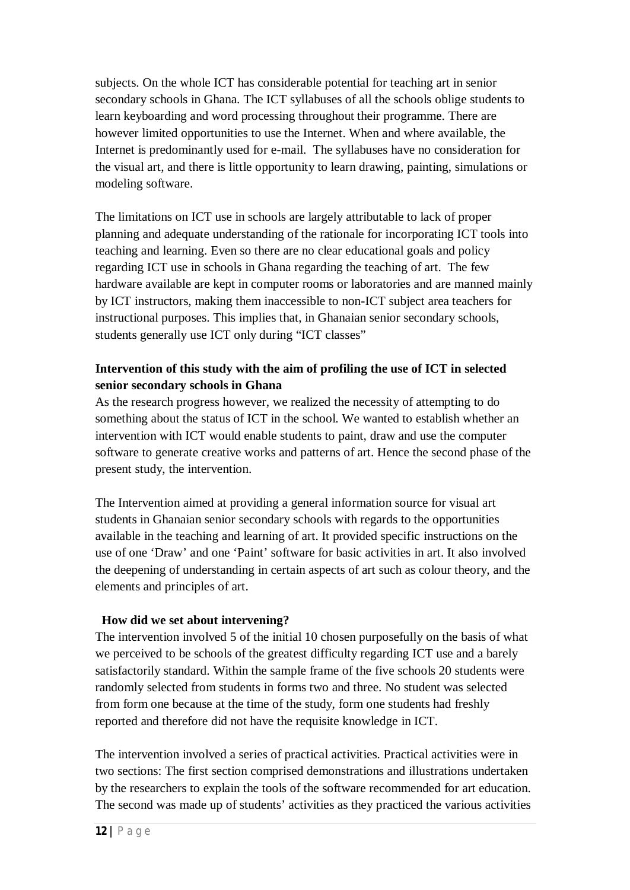subjects. On the whole ICT has considerable potential for teaching art in senior secondary schools in Ghana. The ICT syllabuses of all the schools oblige students to learn keyboarding and word processing throughout their programme. There are however limited opportunities to use the Internet. When and where available, the Internet is predominantly used for e-mail. The syllabuses have no consideration for the visual art, and there is little opportunity to learn drawing, painting, simulations or modeling software.

The limitations on ICT use in schools are largely attributable to lack of proper planning and adequate understanding of the rationale for incorporating ICT tools into teaching and learning. Even so there are no clear educational goals and policy regarding ICT use in schools in Ghana regarding the teaching of art. The few hardware available are kept in computer rooms or laboratories and are manned mainly by ICT instructors, making them inaccessible to non-ICT subject area teachers for instructional purposes. This implies that, in Ghanaian senior secondary schools, students generally use ICT only during "ICT classes"

# **Intervention of this study with the aim of profiling the use of ICT in selected senior secondary schools in Ghana**

As the research progress however, we realized the necessity of attempting to do something about the status of ICT in the school. We wanted to establish whether an intervention with ICT would enable students to paint, draw and use the computer software to generate creative works and patterns of art. Hence the second phase of the present study, the intervention.

The Intervention aimed at providing a general information source for visual art students in Ghanaian senior secondary schools with regards to the opportunities available in the teaching and learning of art. It provided specific instructions on the use of one 'Draw' and one 'Paint' software for basic activities in art. It also involved the deepening of understanding in certain aspects of art such as colour theory, and the elements and principles of art.

#### **How did we set about intervening?**

The intervention involved 5 of the initial 10 chosen purposefully on the basis of what we perceived to be schools of the greatest difficulty regarding ICT use and a barely satisfactorily standard. Within the sample frame of the five schools 20 students were randomly selected from students in forms two and three. No student was selected from form one because at the time of the study, form one students had freshly reported and therefore did not have the requisite knowledge in ICT.

The intervention involved a series of practical activities. Practical activities were in two sections: The first section comprised demonstrations and illustrations undertaken by the researchers to explain the tools of the software recommended for art education. The second was made up of students' activities as they practiced the various activities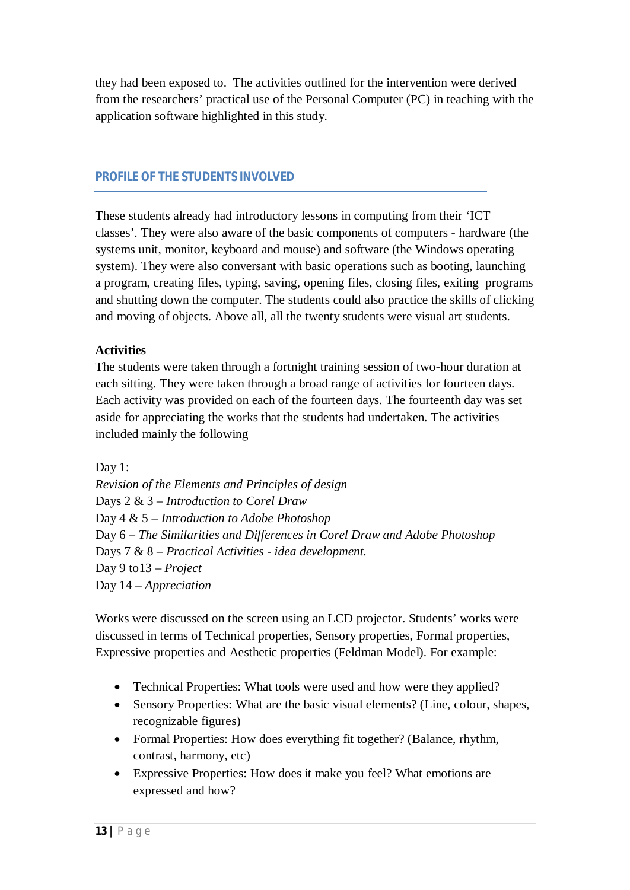they had been exposed to. The activities outlined for the intervention were derived from the researchers' practical use of the Personal Computer (PC) in teaching with the application software highlighted in this study.

# *PROFILE OF THE STUDENTS INVOLVED*

These students already had introductory lessons in computing from their 'ICT classes'. They were also aware of the basic components of computers - hardware (the systems unit, monitor, keyboard and mouse) and software (the Windows operating system). They were also conversant with basic operations such as booting, launching a program, creating files, typing, saving, opening files, closing files, exiting programs and shutting down the computer. The students could also practice the skills of clicking and moving of objects. Above all, all the twenty students were visual art students.

# **Activities**

The students were taken through a fortnight training session of two-hour duration at each sitting. They were taken through a broad range of activities for fourteen days. Each activity was provided on each of the fourteen days. The fourteenth day was set aside for appreciating the works that the students had undertaken. The activities included mainly the following

Day 1:

*Revision of the Elements and Principles of design* Days 2 & 3 – *Introduction to Corel Draw* Day 4 & 5 – *Introduction to Adobe Photoshop* Day 6 – *The Similarities and Differences in Corel Draw and Adobe Photoshop* Days 7 & 8 – *Practical Activities - idea development.* Day 9 to13 – *Project* Day 14 – *Appreciation*

Works were discussed on the screen using an LCD projector. Students' works were discussed in terms of Technical properties, Sensory properties, Formal properties, Expressive properties and Aesthetic properties (Feldman Model). For example:

- Technical Properties: What tools were used and how were they applied?
- Sensory Properties: What are the basic visual elements? (Line, colour, shapes, recognizable figures)
- Formal Properties: How does everything fit together? (Balance, rhythm, contrast, harmony, etc)
- Expressive Properties: How does it make you feel? What emotions are expressed and how?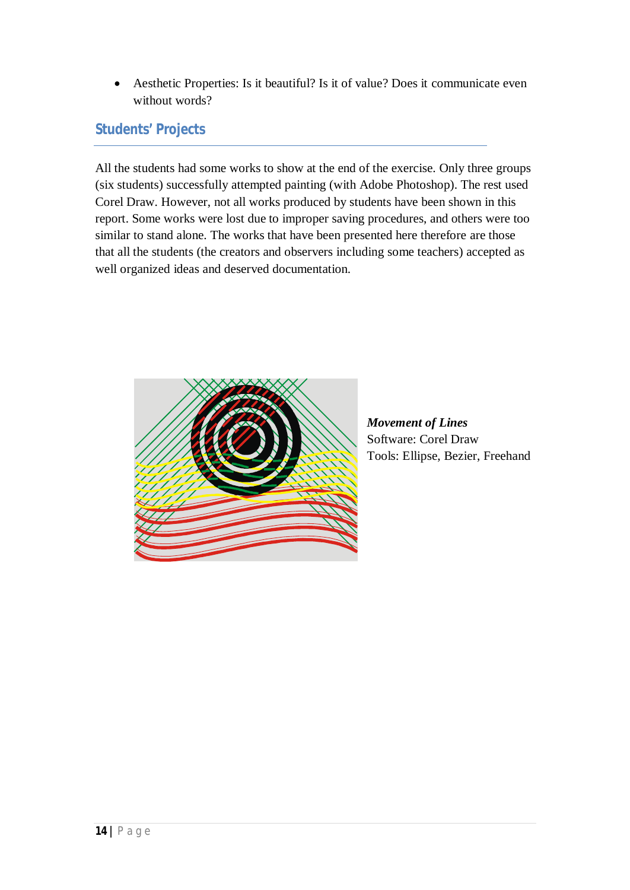Aesthetic Properties: Is it beautiful? Is it of value? Does it communicate even without words?

# *Students' Projects*

All the students had some works to show at the end of the exercise. Only three groups (six students) successfully attempted painting (with Adobe Photoshop). The rest used Corel Draw. However, not all works produced by students have been shown in this report. Some works were lost due to improper saving procedures, and others were too similar to stand alone. The works that have been presented here therefore are those that all the students (the creators and observers including some teachers) accepted as well organized ideas and deserved documentation.



*Movement of Lines* Software: Corel Draw Tools: Ellipse, Bezier, Freehand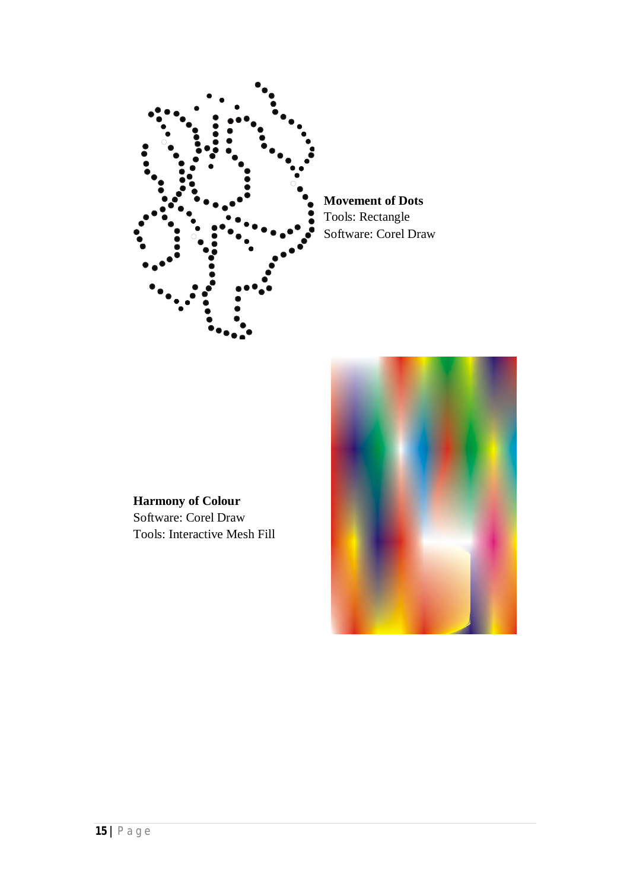

**Movement of Dots** Tools: Rectangle Software: Corel Draw

**Harmony of Colour** Software: Corel Draw Tools: Interactive Mesh Fill

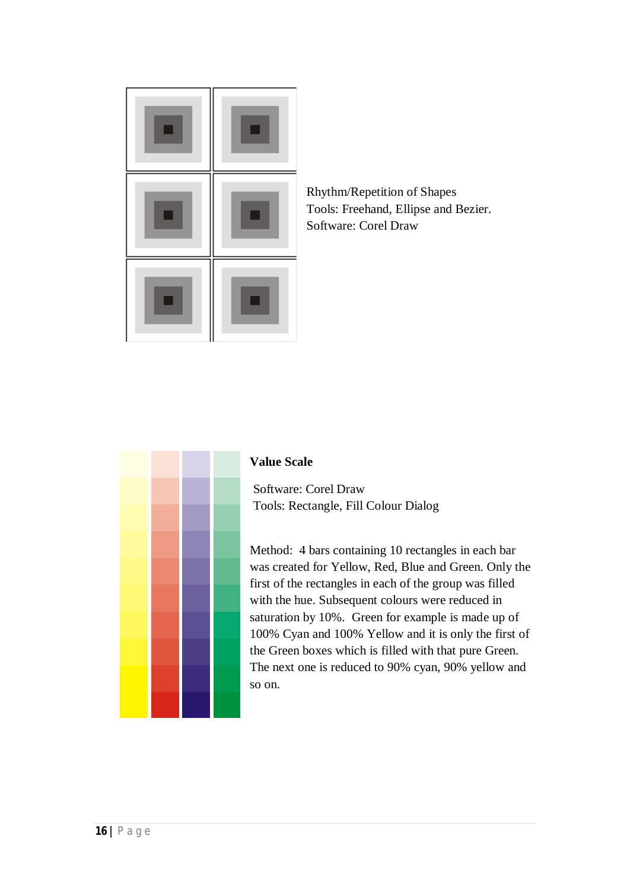

Rhythm/Repetition of Shapes Tools: Freehand, Ellipse and Bezier. Software: Corel Draw



#### **Value Scale**

Software: Corel Draw Tools: Rectangle, Fill Colour Dialog

Method: 4 bars containing 10 rectangles in each bar was created for Yellow, Red, Blue and Green. Only the first of the rectangles in each of the group was filled with the hue. Subsequent colours were reduced in saturation by 10%. Green for example is made up of 100% Cyan and 100% Yellow and it is only the first of the Green boxes which is filled with that pure Green. The next one is reduced to 90% cyan, 90% yellow and so on.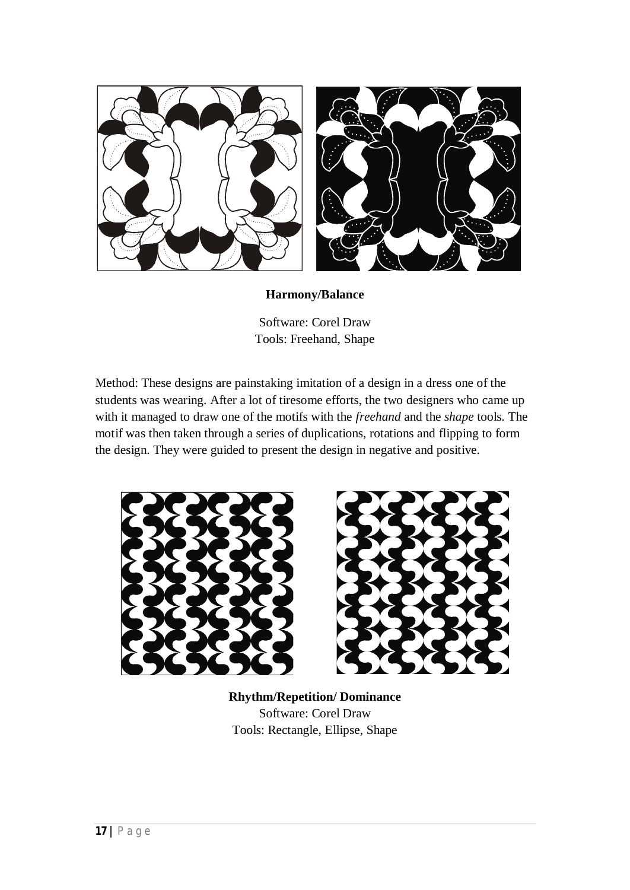

#### **Harmony/Balance**

Software: Corel Draw Tools: Freehand, Shape

Method: These designs are painstaking imitation of a design in a dress one of the students was wearing. After a lot of tiresome efforts, the two designers who came up with it managed to draw one of the motifs with the *freehand* and the *shape* tools. The motif was then taken through a series of duplications, rotations and flipping to form the design. They were guided to present the design in negative and positive.





**Rhythm/Repetition/ Dominance** Software: Corel Draw Tools: Rectangle, Ellipse, Shape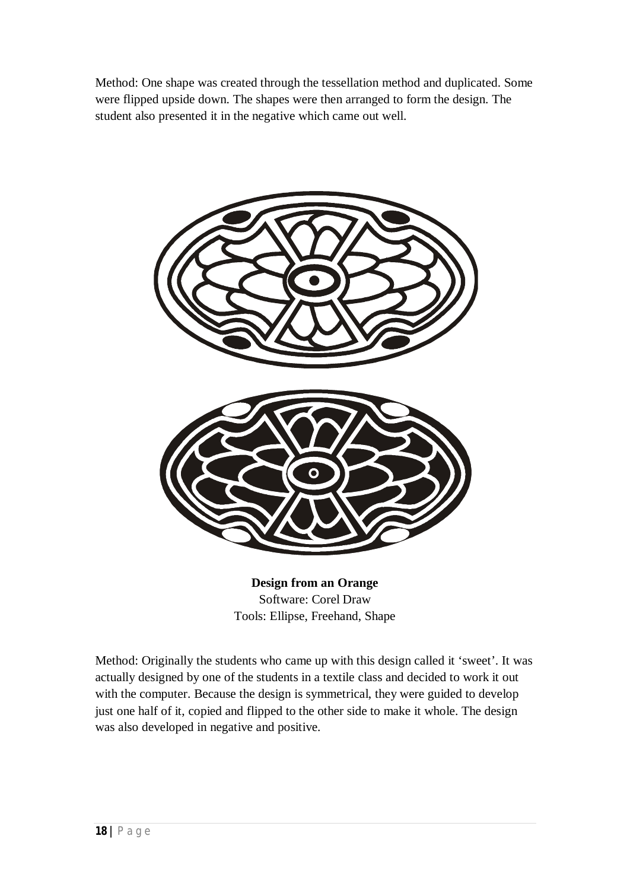Method: One shape was created through the tessellation method and duplicated. Some were flipped upside down. The shapes were then arranged to form the design. The student also presented it in the negative which came out well.



**Design from an Orange** Software: Corel Draw Tools: Ellipse, Freehand, Shape

Method: Originally the students who came up with this design called it 'sweet'. It was actually designed by one of the students in a textile class and decided to work it out with the computer. Because the design is symmetrical, they were guided to develop just one half of it, copied and flipped to the other side to make it whole. The design was also developed in negative and positive.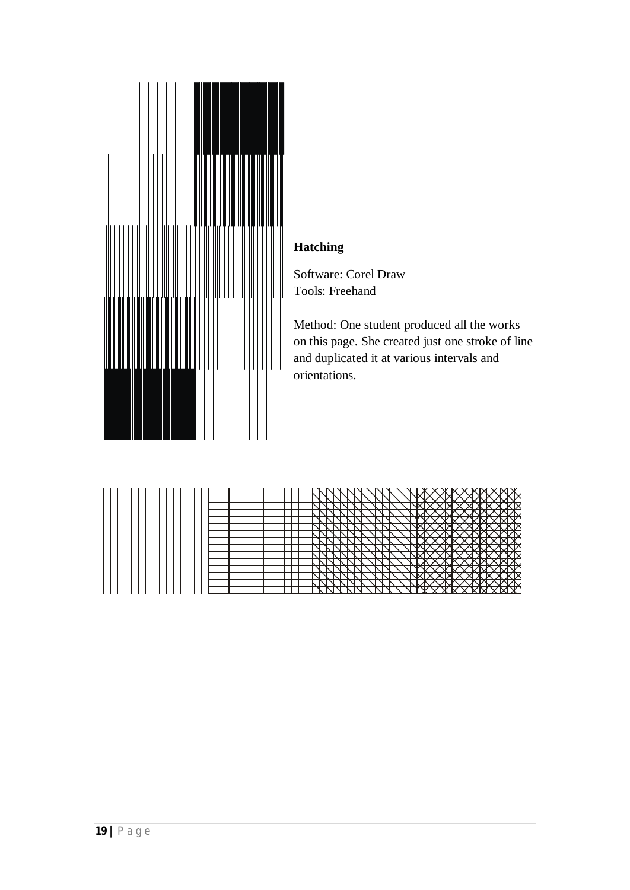

# **Hatching**

Software: Corel Draw Tools: Freehand

Method: One student produced all the works on this page. She created just one stroke of line and duplicated it at various intervals and orientations.

|  |  |  |  |  |  |  |  |  |  |  |  |  |  |  |  |  |   |   |   |   |   |              |   |             |    |    |    |   |             |          |     |   |   |           |       |  | Ж.            |
|--|--|--|--|--|--|--|--|--|--|--|--|--|--|--|--|--|---|---|---|---|---|--------------|---|-------------|----|----|----|---|-------------|----------|-----|---|---|-----------|-------|--|---------------|
|  |  |  |  |  |  |  |  |  |  |  |  |  |  |  |  |  |   |   |   |   |   |              |   |             |    |    |    |   |             |          |     | Y |   |           |       |  |               |
|  |  |  |  |  |  |  |  |  |  |  |  |  |  |  |  |  |   |   | ↘ |   |   |              |   |             |    |    |    |   | <b>MARY</b> |          | ₩   |   |   |           |       |  | <b>www.</b>   |
|  |  |  |  |  |  |  |  |  |  |  |  |  |  |  |  |  |   |   |   | ↘ |   |              |   | WXXI        |    |    |    |   | M           |          | XXX |   |   |           | XX    |  | ЖM            |
|  |  |  |  |  |  |  |  |  |  |  |  |  |  |  |  |  |   |   |   |   |   |              |   |             |    |    | '  |   |             |          |     |   |   |           | ww    |  |               |
|  |  |  |  |  |  |  |  |  |  |  |  |  |  |  |  |  |   |   |   |   | ↘ | $\mathbb{N}$ | ↘ | <b>YYMY</b> |    |    |    |   |             |          |     |   |   |           | XXXXX |  | Y             |
|  |  |  |  |  |  |  |  |  |  |  |  |  |  |  |  |  |   |   |   |   |   |              |   |             |    |    |    |   |             |          |     |   |   |           |       |  |               |
|  |  |  |  |  |  |  |  |  |  |  |  |  |  |  |  |  | ↘ |   | N |   |   | Υ            |   | NМ          |    | ⊣Ӯ |    |   | <b>ANAK</b> |          | ₩   |   |   |           |       |  | <b>ANYANY</b> |
|  |  |  |  |  |  |  |  |  |  |  |  |  |  |  |  |  |   | ↘ |   |   |   |              |   |             | XM |    |    | Ж |             | XX       |     | ж |   |           | ЖМ    |  | ж             |
|  |  |  |  |  |  |  |  |  |  |  |  |  |  |  |  |  |   |   |   |   |   |              |   |             |    |    |    |   |             |          |     |   |   |           |       |  | ◟             |
|  |  |  |  |  |  |  |  |  |  |  |  |  |  |  |  |  |   |   |   |   |   |              |   |             |    | Y  |    | × |             |          |     | ¥ |   |           |       |  |               |
|  |  |  |  |  |  |  |  |  |  |  |  |  |  |  |  |  |   |   |   |   |   |              |   |             |    |    |    |   |             |          |     |   |   |           |       |  |               |
|  |  |  |  |  |  |  |  |  |  |  |  |  |  |  |  |  |   |   |   |   |   |              |   |             |    |    | 'N |   |             |          | v   |   |   |           |       |  | ▽             |
|  |  |  |  |  |  |  |  |  |  |  |  |  |  |  |  |  |   |   |   |   |   |              |   |             |    |    |    |   |             |          |     |   |   | <b>KI</b> |       |  |               |
|  |  |  |  |  |  |  |  |  |  |  |  |  |  |  |  |  |   |   |   |   |   |              | N |             |    |    | '  |   |             |          |     |   | ₩ |           | ∧ฬ    |  | ∧             |
|  |  |  |  |  |  |  |  |  |  |  |  |  |  |  |  |  |   |   |   |   |   |              |   |             |    |    | ИМ |   | YМ          | <b>X</b> |     | Y |   |           |       |  | $\mathbf x$   |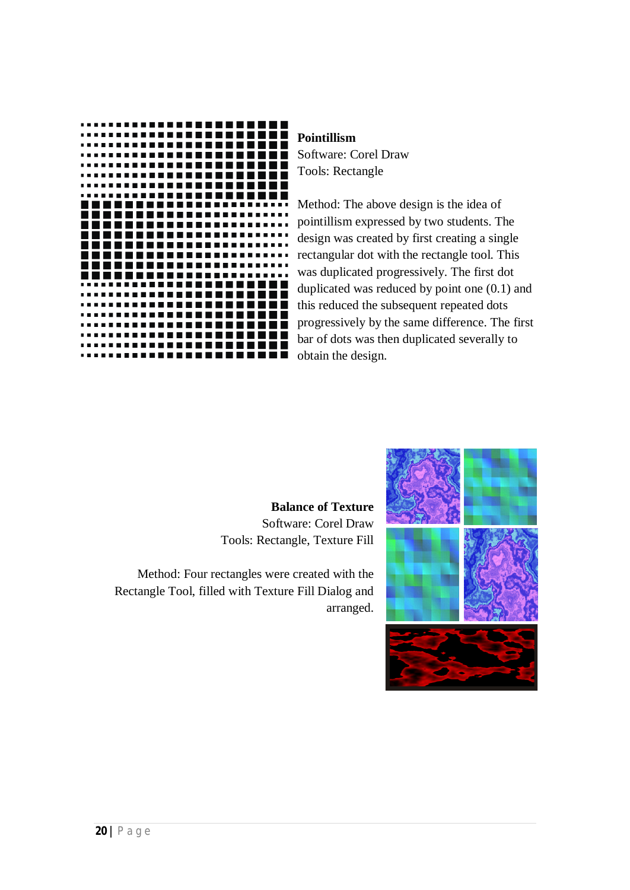

#### **Pointillism**

Software: Corel Draw Tools: Rectangle

Method: The above design is the idea of pointillism expressed by two students. The design was created by first creating a single rectangular dot with the rectangle tool. This was duplicated progressively. The first dot duplicated was reduced by point one (0.1) and this reduced the subsequent repeated dots progressively by the same difference. The first bar of dots was then duplicated severally to obtain the design.

**Balance of Texture** Software: Corel Draw Tools: Rectangle, Texture Fill

Method: Four rectangles were created with the Rectangle Tool, filled with Texture Fill Dialog and arranged.

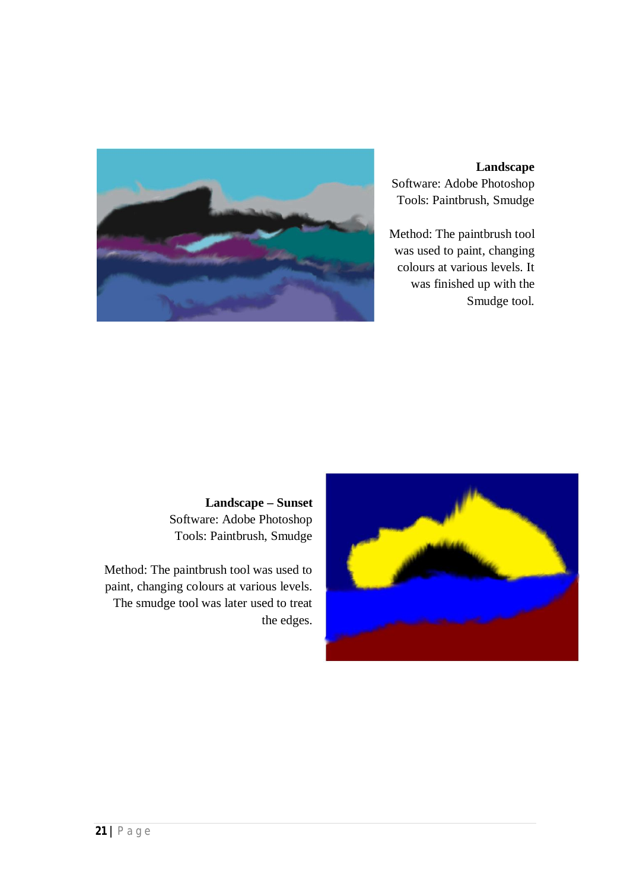

#### **Landscape** Software: Adobe Photoshop Tools: Paintbrush, Smudge

Method: The paintbrush tool was used to paint, changing colours at various levels. It was finished up with the Smudge tool.

**Landscape – Sunset** Software: Adobe Photoshop Tools: Paintbrush, Smudge

Method: The paintbrush tool was used to paint, changing colours at various levels. The smudge tool was later used to treat the edges.

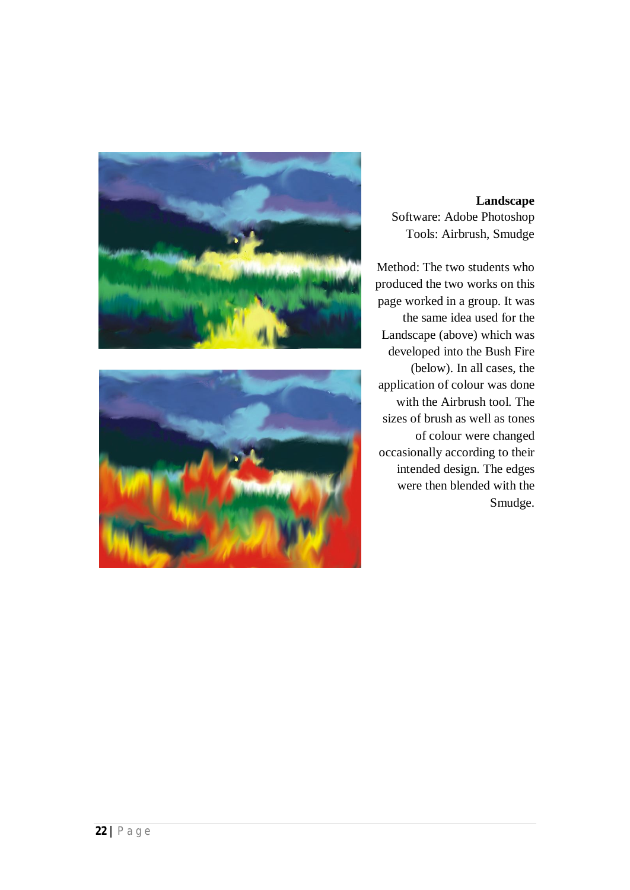



**Landscape** Software: Adobe Photoshop Tools: Airbrush, Smudge

Method: The two students who produced the two works on this page worked in a group. It was the same idea used for the Landscape (above) which was developed into the Bush Fire (below). In all cases, the application of colour was done with the Airbrush tool. The sizes of brush as well as tones of colour were changed occasionally according to their intended design. The edges were then blended with the Smudge.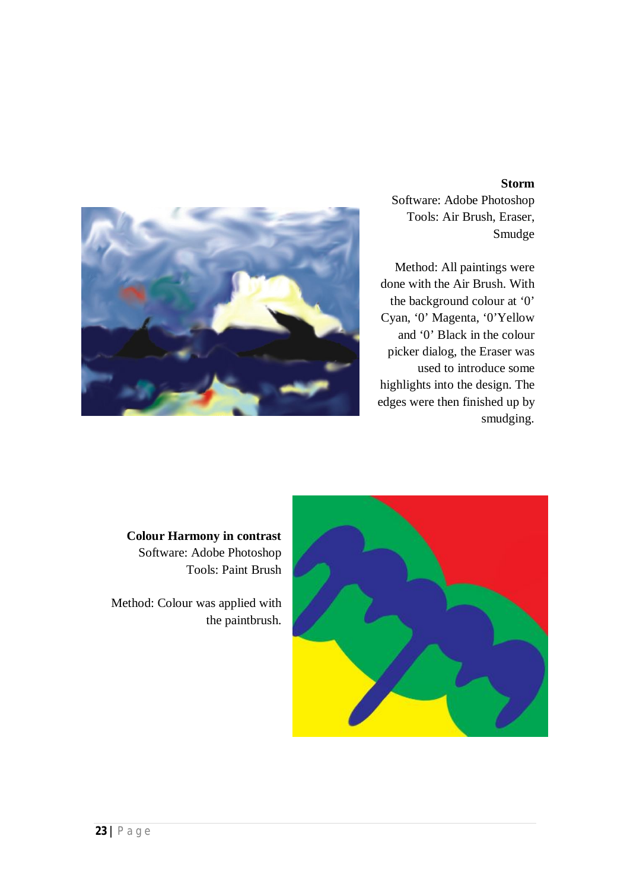#### **Storm**



Software: Adobe Photoshop Tools: Air Brush, Eraser, Smudge

Method: All paintings were done with the Air Brush. With the background colour at '0' Cyan, '0' Magenta, '0'Yellow and '0' Black in the colour picker dialog, the Eraser was used to introduce some highlights into the design. The edges were then finished up by smudging.

**Colour Harmony in contrast** Software: Adobe Photoshop Tools: Paint Brush

Method: Colour was applied with the paintbrush.

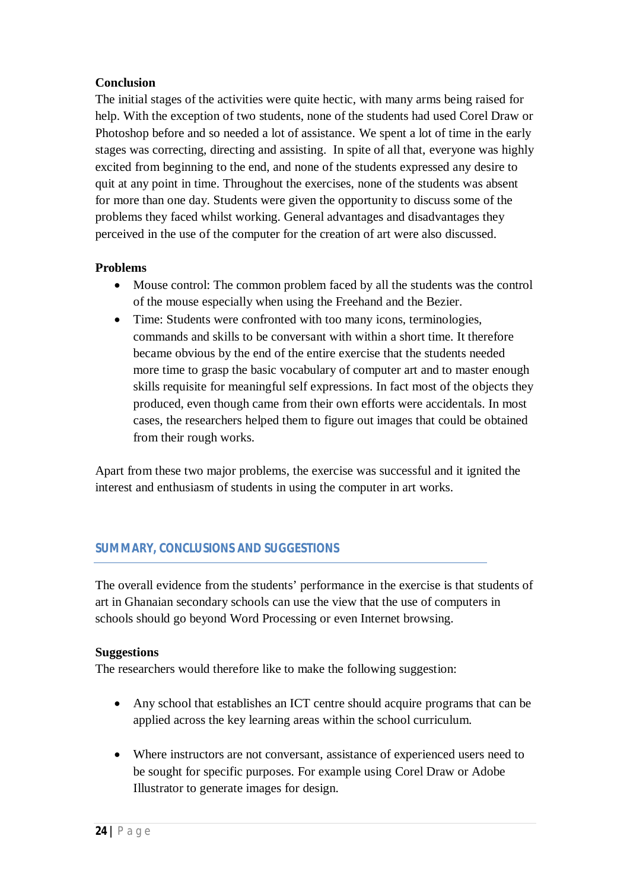#### **Conclusion**

The initial stages of the activities were quite hectic, with many arms being raised for help. With the exception of two students, none of the students had used Corel Draw or Photoshop before and so needed a lot of assistance. We spent a lot of time in the early stages was correcting, directing and assisting. In spite of all that, everyone was highly excited from beginning to the end, and none of the students expressed any desire to quit at any point in time. Throughout the exercises, none of the students was absent for more than one day. Students were given the opportunity to discuss some of the problems they faced whilst working. General advantages and disadvantages they perceived in the use of the computer for the creation of art were also discussed.

#### **Problems**

- Mouse control: The common problem faced by all the students was the control of the mouse especially when using the Freehand and the Bezier.
- Time: Students were confronted with too many icons, terminologies, commands and skills to be conversant with within a short time. It therefore became obvious by the end of the entire exercise that the students needed more time to grasp the basic vocabulary of computer art and to master enough skills requisite for meaningful self expressions. In fact most of the objects they produced, even though came from their own efforts were accidentals. In most cases, the researchers helped them to figure out images that could be obtained from their rough works.

Apart from these two major problems, the exercise was successful and it ignited the interest and enthusiasm of students in using the computer in art works.

#### *SUMMARY, CONCLUSIONS AND SUGGESTIONS*

The overall evidence from the students' performance in the exercise is that students of art in Ghanaian secondary schools can use the view that the use of computers in schools should go beyond Word Processing or even Internet browsing.

#### **Suggestions**

The researchers would therefore like to make the following suggestion:

- Any school that establishes an ICT centre should acquire programs that can be applied across the key learning areas within the school curriculum.
- Where instructors are not conversant, assistance of experienced users need to be sought for specific purposes. For example using Corel Draw or Adobe Illustrator to generate images for design.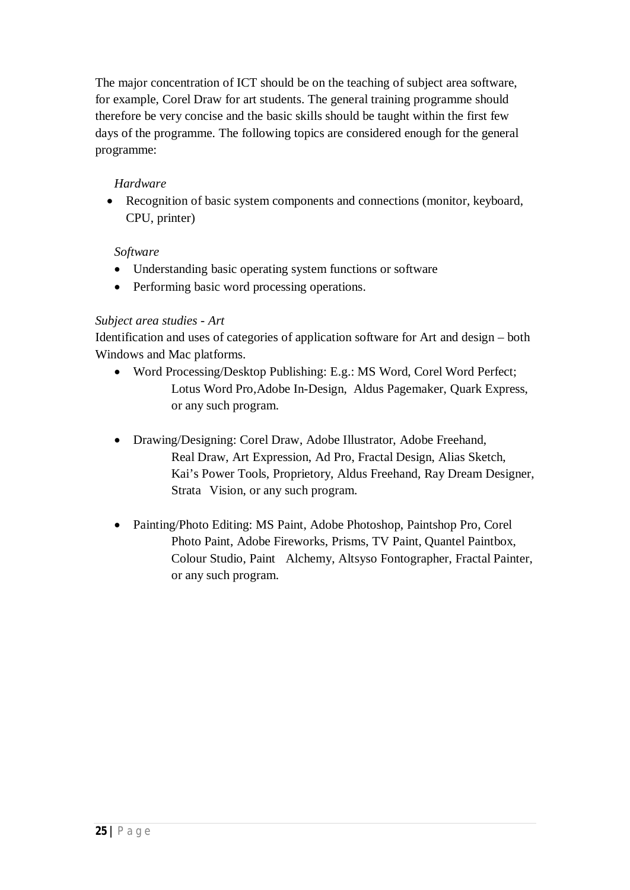The major concentration of ICT should be on the teaching of subject area software, for example, Corel Draw for art students. The general training programme should therefore be very concise and the basic skills should be taught within the first few days of the programme. The following topics are considered enough for the general programme:

#### *Hardware*

 Recognition of basic system components and connections (monitor, keyboard, CPU, printer)

#### *Software*

- Understanding basic operating system functions or software
- Performing basic word processing operations.

#### *Subject area studies - Art*

Identification and uses of categories of application software for Art and design – both Windows and Mac platforms.

- Word Processing/Desktop Publishing: E.g.: MS Word, Corel Word Perfect; Lotus Word Pro,Adobe In-Design, Aldus Pagemaker, Quark Express, or any such program.
- Drawing/Designing: Corel Draw, Adobe Illustrator, Adobe Freehand, Real Draw, Art Expression, Ad Pro, Fractal Design, Alias Sketch, Kai's Power Tools, Proprietory, Aldus Freehand, Ray Dream Designer, Strata Vision, or any such program.
- Painting/Photo Editing: MS Paint, Adobe Photoshop, Paintshop Pro, Corel Photo Paint, Adobe Fireworks, Prisms, TV Paint, Quantel Paintbox, Colour Studio, Paint Alchemy, Altsyso Fontographer, Fractal Painter, or any such program.